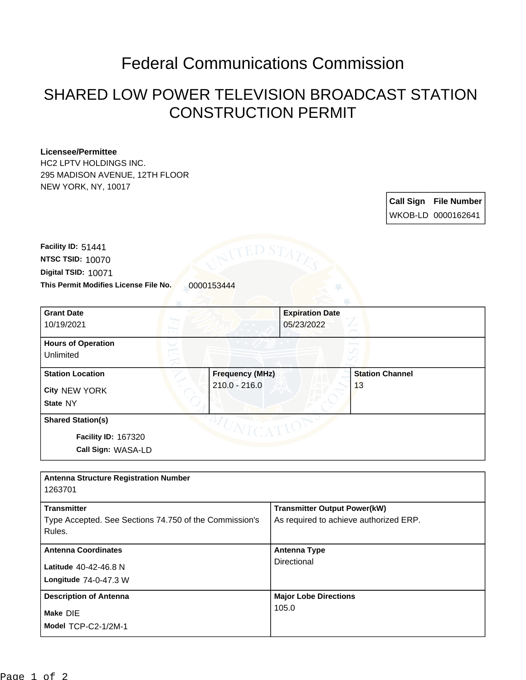## Federal Communications Commission

## SHARED LOW POWER TELEVISION BROADCAST STATION CONSTRUCTION PERMIT

## **Licensee/Permittee**

HC2 LPTV HOLDINGS INC. 295 MADISON AVENUE, 12TH FLOOR NEW YORK, NY, 10017

> **Call Sign File Number** WKOB-LD 0000162641

This Permit Modifies License File No. 0000153444 **Digital TSID:** 10071 **NTSC TSID:** 10070 **Facility ID:** 51441

| <b>Grant Date</b>          | <b>Expiration Date</b> |                        |
|----------------------------|------------------------|------------------------|
| 10/19/2021                 | 05/23/2022             |                        |
| <b>Hours of Operation</b>  |                        |                        |
| Unlimited                  |                        |                        |
| <b>Station Location</b>    | <b>Frequency (MHz)</b> | <b>Station Channel</b> |
| City NEW YORK              | 210.0 - 216.0          | 13                     |
| State NY                   |                        |                        |
| <b>Shared Station(s)</b>   |                        |                        |
| <b>Facility ID: 167320</b> |                        |                        |
| Call Sign: WASA-LD         |                        |                        |

| <b>Antenna Structure Registration Number</b>                                           |                                                                               |  |  |  |
|----------------------------------------------------------------------------------------|-------------------------------------------------------------------------------|--|--|--|
| 1263701                                                                                |                                                                               |  |  |  |
| <b>Transmitter</b><br>Type Accepted. See Sections 74.750 of the Commission's<br>Rules. | <b>Transmitter Output Power(kW)</b><br>As required to achieve authorized ERP. |  |  |  |
| <b>Antenna Coordinates</b>                                                             | <b>Antenna Type</b>                                                           |  |  |  |
| Latitude 40-42-46.8 N<br>Longitude $74-0-47.3$ W                                       | Directional                                                                   |  |  |  |
| <b>Description of Antenna</b>                                                          | <b>Major Lobe Directions</b>                                                  |  |  |  |
| Make DIE<br>Model TCP-C2-1/2M-1                                                        | 105.0                                                                         |  |  |  |